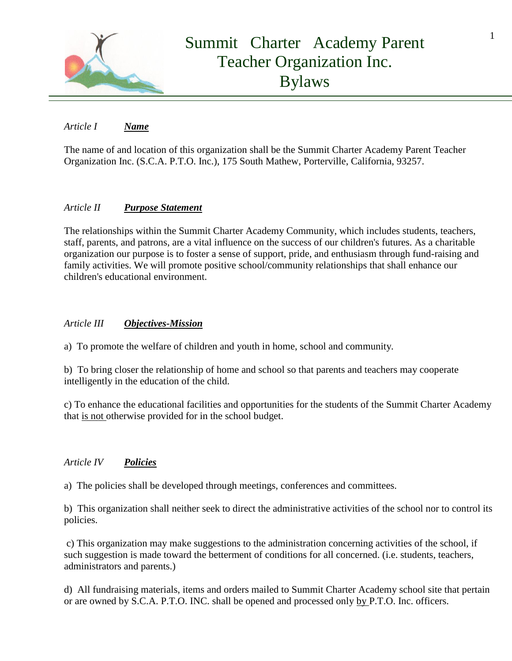

## *Article I Name*

The name of and location of this organization shall be the Summit Charter Academy Parent Teacher Organization Inc. (S.C.A. P.T.O. Inc.), 175 South Mathew, Porterville, California, 93257.

## *Article II Purpose Statement*

The relationships within the Summit Charter Academy Community, which includes students, teachers, staff, parents, and patrons, are a vital influence on the success of our children's futures. As a charitable organization our purpose is to foster a sense of support, pride, and enthusiasm through fund-raising and family activities. We will promote positive school/community relationships that shall enhance our children's educational environment.

## *Article III Objectives-Mission*

a) To promote the welfare of children and youth in home, school and community.

b) To bring closer the relationship of home and school so that parents and teachers may cooperate intelligently in the education of the child.

c) To enhance the educational facilities and opportunities for the students of the Summit Charter Academy that is not otherwise provided for in the school budget.

## *Article IV Policies*

a) The policies shall be developed through meetings, conferences and committees.

b) This organization shall neither seek to direct the administrative activities of the school nor to control its policies.

c) This organization may make suggestions to the administration concerning activities of the school, if such suggestion is made toward the betterment of conditions for all concerned. (i.e. students, teachers, administrators and parents.)

d) All fundraising materials, items and orders mailed to Summit Charter Academy school site that pertain or are owned by S.C.A. P.T.O. INC. shall be opened and processed only by P.T.O. Inc. officers.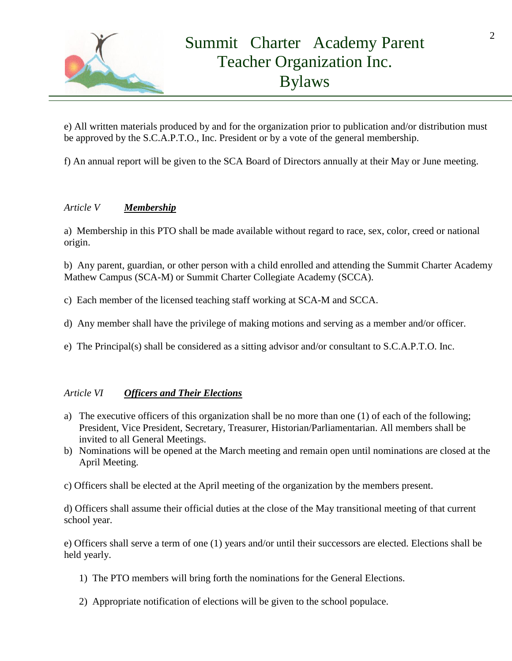

e) All written materials produced by and for the organization prior to publication and/or distribution must be approved by the S.C.A.P.T.O., Inc. President or by a vote of the general membership.

f) An annual report will be given to the SCA Board of Directors annually at their May or June meeting.

## *Article V Membership*

a) Membership in this PTO shall be made available without regard to race, sex, color, creed or national origin.

b) Any parent, guardian, or other person with a child enrolled and attending the Summit Charter Academy Mathew Campus (SCA-M) or Summit Charter Collegiate Academy (SCCA).

- c) Each member of the licensed teaching staff working at SCA-M and SCCA.
- d) Any member shall have the privilege of making motions and serving as a member and/or officer.
- e) The Principal(s) shall be considered as a sitting advisor and/or consultant to S.C.A.P.T.O. Inc.

## *Article VI [Officers and Their Elections](http://www.bccn.boone.in.us/pwpto/bylaw.htm#officers)*

- a) The executive officers of this organization shall be no more than one (1) of each of the following; President, Vice President, Secretary, Treasurer, Historian/Parliamentarian. All members shall be invited to all General Meetings.
- b) Nominations will be opened at the March meeting and remain open until nominations are closed at the April Meeting.
- c) Officers shall be elected at the April meeting of the organization by the members present.

d) Officers shall assume their official duties at the close of the May transitional meeting of that current school year.

e) Officers shall serve a term of one (1) years and/or until their successors are elected. Elections shall be held yearly.

- 1) The PTO members will bring forth the nominations for the General Elections.
- 2) Appropriate notification of elections will be given to the school populace.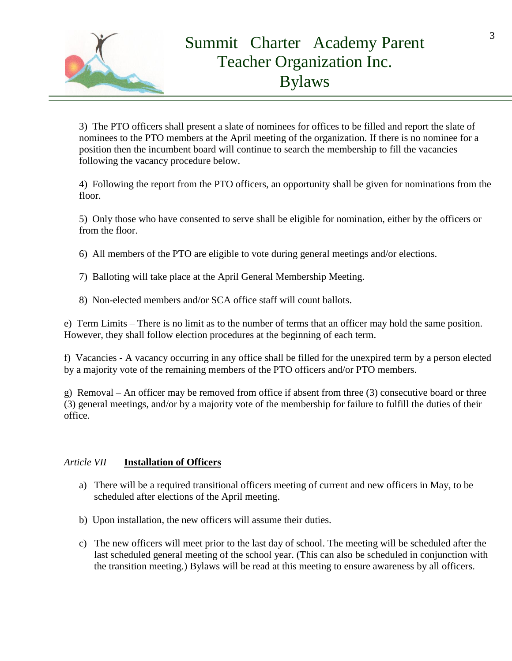

3) The PTO officers shall present a slate of nominees for offices to be filled and report the slate of nominees to the PTO members at the April meeting of the organization. If there is no nominee for a position then the incumbent board will continue to search the membership to fill the vacancies following the vacancy procedure below.

4) Following the report from the PTO officers, an opportunity shall be given for nominations from the floor.

5) Only those who have consented to serve shall be eligible for nomination, either by the officers or from the floor.

6) All members of the PTO are eligible to vote during general meetings and/or elections.

- 7) Balloting will take place at the April General Membership Meeting.
- 8) Non-elected members and/or SCA office staff will count ballots.

e) Term Limits – There is no limit as to the number of terms that an officer may hold the same position. However, they shall follow election procedures at the beginning of each term.

f) Vacancies - A vacancy occurring in any office shall be filled for the unexpired term by a person elected by a majority vote of the remaining members of the PTO officers and/or PTO members.

g) Removal – An officer may be removed from office if absent from three (3) consecutive board or three (3) general meetings, and/or by a majority vote of the membership for failure to fulfill the duties of their office.

## *Article VII* **Installation of Officers**

- a) There will be a required transitional officers meeting of current and new officers in May, to be scheduled after elections of the April meeting.
- b) Upon installation, the new officers will assume their duties.
- c) The new officers will meet prior to the last day of school. The meeting will be scheduled after the last scheduled general meeting of the school year. (This can also be scheduled in conjunction with the transition meeting.) Bylaws will be read at this meeting to ensure awareness by all officers.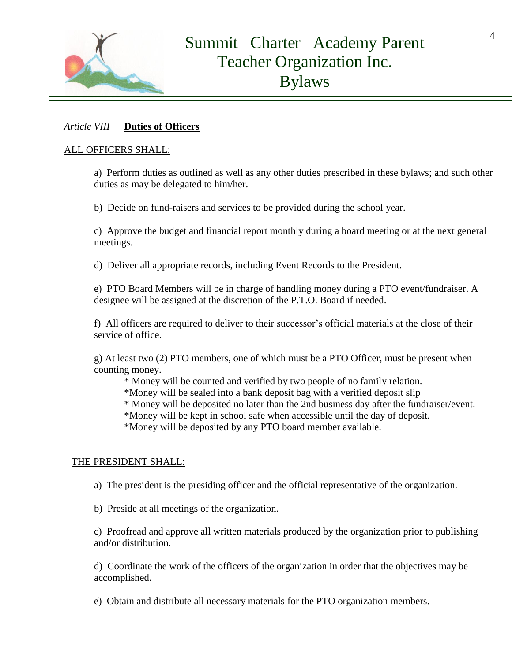

### *Article VIII* **Duties of Officers**

#### ALL OFFICERS SHALL:

a) Perform duties as outlined as well as any other duties prescribed in these bylaws; and such other duties as may be delegated to him/her.

b) Decide on fund-raisers and services to be provided during the school year.

c) Approve the budget and financial report monthly during a board meeting or at the next general meetings.

d) Deliver all appropriate records, including Event Records to the President.

e) PTO Board Members will be in charge of handling money during a PTO event/fundraiser. A designee will be assigned at the discretion of the P.T.O. Board if needed.

f) All officers are required to deliver to their successor's official materials at the close of their service of office.

g) At least two (2) PTO members, one of which must be a PTO Officer, must be present when counting money.

\* Money will be counted and verified by two people of no family relation.

\*Money will be sealed into a bank deposit bag with a verified deposit slip

\* Money will be deposited no later than the 2nd business day after the fundraiser/event.

\*Money will be kept in school safe when accessible until the day of deposit.

\*Money will be deposited by any PTO board member available.

#### THE PRESIDENT SHALL:

a) The president is the presiding officer and the official representative of the organization.

b) Preside at all meetings of the organization.

c) Proofread and approve all written materials produced by the organization prior to publishing and/or distribution.

d) Coordinate the work of the officers of the organization in order that the objectives may be accomplished.

e) Obtain and distribute all necessary materials for the PTO organization members.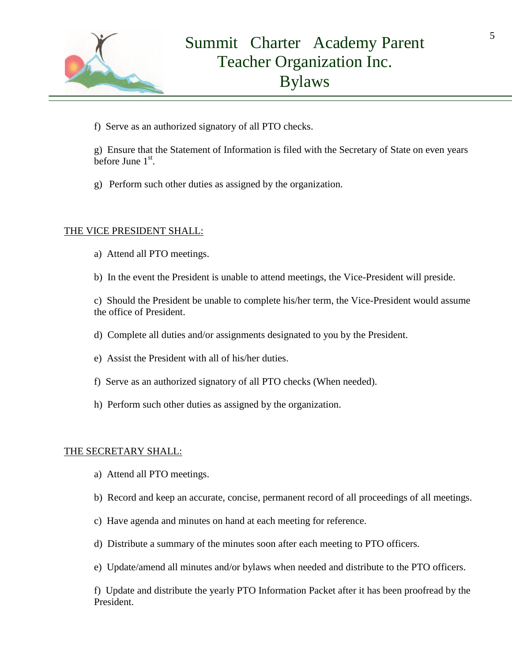

f) Serve as an authorized signatory of all PTO checks.

g)Ensure that the Statement of Information is filed with the Secretary of State on even years before June  $1<sup>st</sup>$ .

g) Perform such other duties as assigned by the organization.

### THE VICE PRESIDENT SHALL:

- a) Attend all PTO meetings.
- b) In the event the President is unable to attend meetings, the Vice-President will preside.

c) Should the President be unable to complete his/her term, the Vice-President would assume the office of President.

- d) Complete all duties and/or assignments designated to you by the President.
- e) Assist the President with all of his/her duties.
- f) Serve as an authorized signatory of all PTO checks (When needed).
- h) Perform such other duties as assigned by the organization.

#### THE SECRETARY SHALL:

- a) Attend all PTO meetings.
- b) Record and keep an accurate, concise, permanent record of all proceedings of all meetings.
- c) Have agenda and minutes on hand at each meeting for reference.
- d) Distribute a summary of the minutes soon after each meeting to PTO officers.
- e) Update/amend all minutes and/or bylaws when needed and distribute to the PTO officers.

f) Update and distribute the yearly PTO Information Packet after it has been proofread by the President.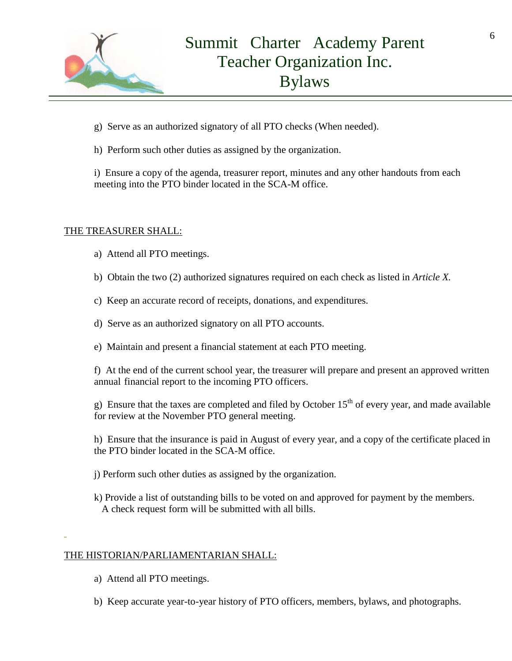

- g) Serve as an authorized signatory of all PTO checks (When needed).
- h) Perform such other duties as assigned by the organization.

i) Ensure a copy of the agenda, treasurer report, minutes and any other handouts from each meeting into the PTO binder located in the SCA-M office.

#### THE TREASURER SHALL:

- a) Attend all PTO meetings.
- b) Obtain the two (2) authorized signatures required on each check as listed in *Article X.*
- c) Keep an accurate record of receipts, donations, and expenditures.
- d) Serve as an authorized signatory on all PTO accounts.
- e) Maintain and present a financial statement at each PTO meeting.

f) At the end of the current school year, the treasurer will prepare and present an approved written annual financial report to the incoming PTO officers.

g) Ensure that the taxes are completed and filed by October  $15<sup>th</sup>$  of every year, and made available for review at the November PTO general meeting.

h) Ensure that the insurance is paid in August of every year, and a copy of the certificate placed in the PTO binder located in the SCA-M office.

- j) Perform such other duties as assigned by the organization.
- k) Provide a list of outstanding bills to be voted on and approved for payment by the members. A check request form will be submitted with all bills.

## THE HISTORIAN/PARLIAMENTARIAN SHALL:

- a) Attend all PTO meetings.
- b) Keep accurate year-to-year history of PTO officers, members, bylaws, and photographs.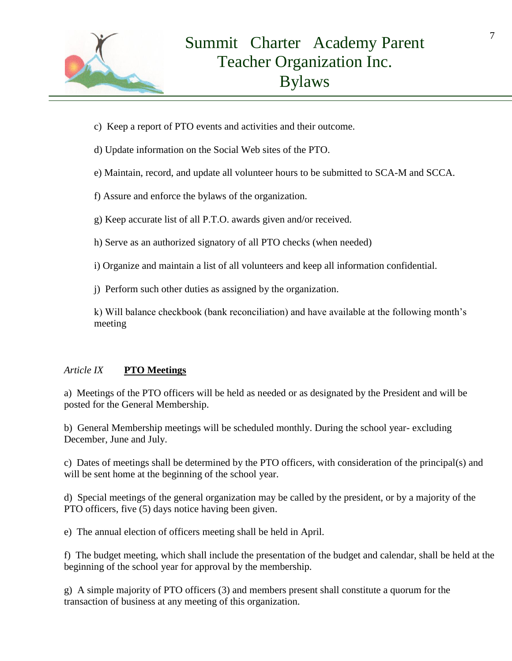

- c) Keep a report of PTO events and activities and their outcome.
- d) Update information on the Social Web sites of the PTO.
- e) Maintain, record, and update all volunteer hours to be submitted to SCA-M and SCCA.
- f) Assure and enforce the bylaws of the organization.
- g) Keep accurate list of all P.T.O. awards given and/or received.
- h) Serve as an authorized signatory of all PTO checks (when needed)
- i) Organize and maintain a list of all volunteers and keep all information confidential.
- j) Perform such other duties as assigned by the organization.

k) Will balance checkbook (bank reconciliation) and have available at the following month's meeting

## *Article IX* **PTO Meetings**

a) Meetings of the PTO officers will be held as needed or as designated by the President and will be posted for the General Membership.

b) General Membership meetings will be scheduled monthly. During the school year- excluding December, June and July.

c) Dates of meetings shall be determined by the PTO officers, with consideration of the principal(s) and will be sent home at the beginning of the school year.

d) Special meetings of the general organization may be called by the president, or by a majority of the PTO officers, five (5) days notice having been given.

e) The annual election of officers meeting shall be held in April.

f) The budget meeting, which shall include the presentation of the budget and calendar, shall be held at the beginning of the school year for approval by the membership*.*

g) A simple majority of PTO officers (3) and members present shall constitute a quorum for the transaction of business at any meeting of this organization.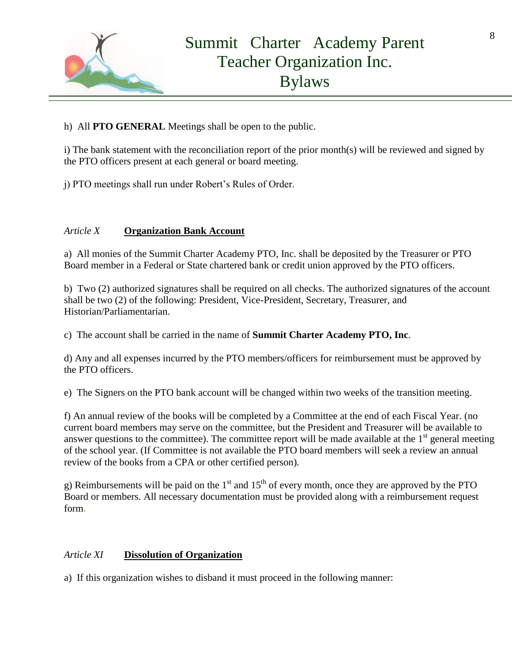

h) All **PTO GENERAL** Meetings shall be open to the public.

i) The bank statement with the reconciliation report of the prior month(s) will be reviewed and signed by the PTO officers present at each general or board meeting.

j) PTO meetings shall run under Robert's Rules of Order.

## *Article X* **Organization Bank Account**

a) All monies of the Summit Charter Academy PTO, Inc. shall be deposited by the Treasurer or PTO Board member in a Federal or State chartered bank or credit union approved by the PTO officers.

b) Two (2) authorized signatures shall be required on all checks. The authorized signatures of the account shall be two (2) of the following: President, Vice-President, Secretary, Treasurer, and Historian/Parliamentarian.

c) The account shall be carried in the name of **Summit Charter Academy PTO, Inc**.

d) Any and all expenses incurred by the PTO members/officers for reimbursement must be approved by the PTO officers.

e) The Signers on the PTO bank account will be changed within two weeks of the transition meeting.

f) An annual review of the books will be completed by a Committee at the end of each Fiscal Year. (no current board members may serve on the committee, but the President and Treasurer will be available to answer questions to the committee). The committee report will be made available at the  $1<sup>st</sup>$  general meeting of the school year. (If Committee is not available the PTO board members will seek a review an annual review of the books from a CPA or other certified person)*.*

g) Reimbursements will be paid on the  $1<sup>st</sup>$  and  $15<sup>th</sup>$  of every month, once they are approved by the PTO Board or members. All necessary documentation must be provided along with a reimbursement request form**.**

## *Article XI* **Dissolution of Organization**

a) If this organization wishes to disband it must proceed in the following manner: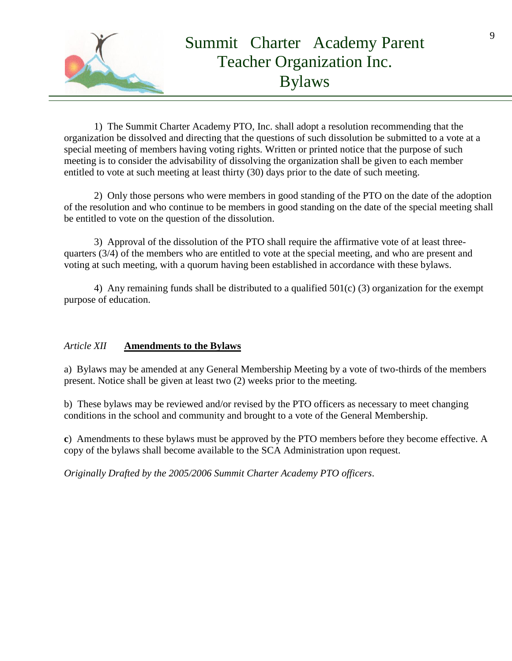

1) The Summit Charter Academy PTO, Inc. shall adopt a resolution recommending that the organization be dissolved and directing that the questions of such dissolution be submitted to a vote at a special meeting of members having voting rights. Written or printed notice that the purpose of such meeting is to consider the advisability of dissolving the organization shall be given to each member entitled to vote at such meeting at least thirty (30) days prior to the date of such meeting.

2) Only those persons who were members in good standing of the PTO on the date of the adoption of the resolution and who continue to be members in good standing on the date of the special meeting shall be entitled to vote on the question of the dissolution.

3) Approval of the dissolution of the PTO shall require the affirmative vote of at least threequarters (3/4) of the members who are entitled to vote at the special meeting, and who are present and voting at such meeting, with a quorum having been established in accordance with these bylaws.

4) Any remaining funds shall be distributed to a qualified 501(c) (3) organization for the exempt purpose of education.

## *Article XII* **Amendments to the Bylaws**

a) Bylaws may be amended at any General Membership Meeting by a vote of two-thirds of the members present. Notice shall be given at least two (2) weeks prior to the meeting.

b) These bylaws may be reviewed and/or revised by the PTO officers as necessary to meet changing conditions in the school and community and brought to a vote of the General Membership.

**c**) Amendments to these bylaws must be approved by the PTO members before they become effective. A copy of the bylaws shall become available to the SCA Administration upon request.

*Originally Drafted by the 2005/2006 Summit Charter Academy PTO officers*.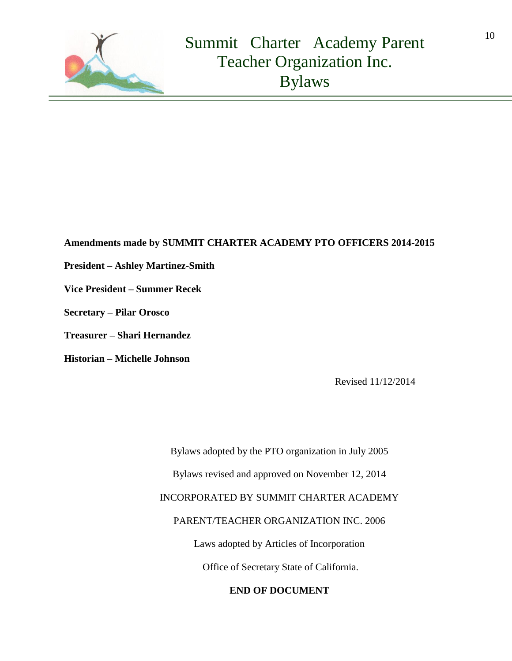

## **Amendments made by SUMMIT CHARTER ACADEMY PTO OFFICERS 2014-2015**

- **President – Ashley Martinez-Smith**
- **Vice President – Summer Recek**
- **Secretary – Pilar Orosco**
- **Treasurer – Shari Hernandez**
- **Historian – Michelle Johnson**

Revised 11/12/2014

Bylaws adopted by the PTO organization in July 2005 Bylaws revised and approved on November 12, 2014 INCORPORATED BY SUMMIT CHARTER ACADEMY PARENT/TEACHER ORGANIZATION INC. 2006 Laws adopted by Articles of Incorporation Office of Secretary State of California.

**END OF DOCUMENT**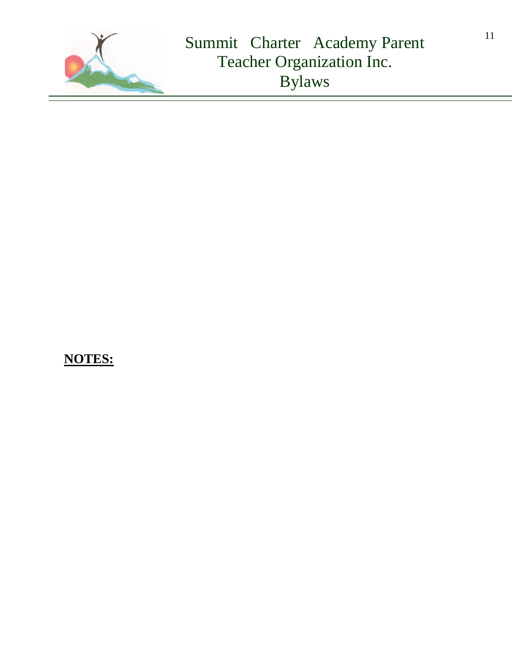

# **NOTES:**